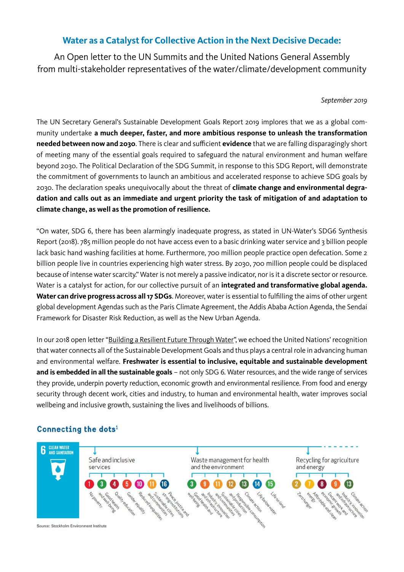## **Water as a Catalyst for Collective Action in the Next Decisive Decade:**

An Open letter to the UN Summits and the United Nations General Assembly from multi-stakeholder representatives of the water/climate/development community

*September 2019*

The UN Secretary General's Sustainable Development Goals Report 2019 implores that we as a global community undertake **a much deeper, faster, and more ambitious response to unleash the transformation needed between now and 2030**. There is clear and sufficient **evidence** that we are falling disparagingly short of meeting many of the essential goals required to safeguard the natural environment and human welfare beyond 2030. The Political Declaration of the SDG Summit, in response to this SDG Report, will demonstrate the commitment of governments to launch an ambitious and accelerated response to achieve SDG goals by 2030. The declaration speaks unequivocally about the threat of **climate change and environmental degradation and calls out as an immediate and urgent priority the task of mitigation of and adaptation to climate change, as well as the promotion of resilience.**

"On water, SDG 6, there has been alarmingly inadequate progress, as stated in UN-Water's SDG6 Synthesis Report (2018). 785 million people do not have access even to a basic drinking water service and 3 billion people lack basic hand washing facilities at home. Furthermore, 700 million people practice open defecation. Some 2 billion people live in countries experiencing high water stress. By 2030, 700 million people could be displaced because of intense water scarcity." Water is not merely a passive indicator, nor is it a discrete sector or resource. Water is a catalyst for action, for our collective pursuit of an **integrated and transformative global agenda. Water can drive progress across all 17 SDGs**. Moreover, water is essential to fulfilling the aims of other urgent global development Agendas such as the Paris Climate Agreement, the Addis Ababa Action Agenda, the Sendai Framework for Disaster Risk Reduction, as well as the New Urban Agenda.

In our 2018 open letter ["Building a Resilient Future Through Water",](https://www.siwi.org/wp-content/uploads/2018/06/Open-Letter-Building-a-Resilient-Future-Through-Water-20181120-Final.pdf) we echoed the United Nations' recognition that water connects all of the Sustainable Development Goals and thus plays a central role in advancing human and environmental welfare. **Freshwater is essential to inclusive, equitable and sustainable development and is embedded in all the sustainable goals** – not only SDG 6. Water resources, and the wide range of services they provide, underpin poverty reduction, economic growth and environmental resilience. From food and energy security through decent work, cities and industry, to human and environmental health, water improves social wellbeing and inclusive growth, sustaining the lives and livelihoods of billions.

## Connecting the dots<sup>1</sup>

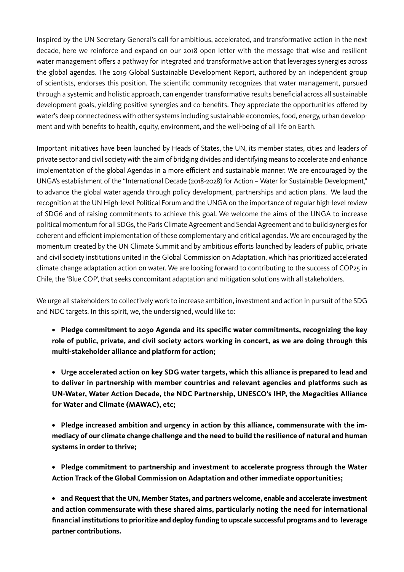Inspired by the UN Secretary General's call for ambitious, accelerated, and transformative action in the next decade, here we reinforce and expand on our 2018 open letter with the message that wise and resilient water management offers a pathway for integrated and transformative action that leverages synergies across the global agendas. The 2019 Global Sustainable Development Report, authored by an independent group of scientists, endorses this position. The scientific community recognizes that water management, pursued through a systemic and holistic approach, can engender transformative results beneficial across all sustainable development goals, yielding positive synergies and co-benefits. They appreciate the opportunities offered by water's deep connectedness with other systems including sustainable economies, food, energy, urban development and with benefits to health, equity, environment, and the well-being of all life on Earth.

Important initiatives have been launched by Heads of States, the UN, its member states, cities and leaders of private sector and civil society with the aim of bridging divides and identifying means to accelerate and enhance implementation of the global Agendas in a more efficient and sustainable manner. We are encouraged by the UNGA's establishment of the "International Decade (2018-2028) for Action – Water for Sustainable Development," to advance the global water agenda through policy development, partnerships and action plans. We laud the recognition at the UN High-level Political Forum and the UNGA on the importance of regular high-level review of SDG6 and of raising commitments to achieve this goal. We welcome the aims of the UNGA to increase political momentum for all SDGs, the Paris Climate Agreement and Sendai Agreement and to build synergies for coherent and efficient implementation of these complementary and critical agendas. We are encouraged by the momentum created by the UN Climate Summit and by ambitious efforts launched by leaders of public, private and civil society institutions united in the Global Commission on Adaptation, which has prioritized accelerated climate change adaptation action on water. We are looking forward to contributing to the success of COP25 in Chile, the 'Blue COP', that seeks concomitant adaptation and mitigation solutions with all stakeholders.

We urge all stakeholders to collectively work to increase ambition, investment and action in pursuit of the SDG and NDC targets. In this spirit, we, the undersigned, would like to:

**• Pledge commitment to 2030 Agenda and its specific water commitments, recognizing the key role of public, private, and civil society actors working in concert, as we are doing through this multi-stakeholder alliance and platform for action;**

**• Urge accelerated action on key SDG water targets, which this alliance is prepared to lead and to deliver in partnership with member countries and relevant agencies and platforms such as UN-Water, Water Action Decade, the NDC Partnership, UNESCO's IHP, the Megacities Alliance for Water and Climate (MAWAC), etc;** 

**• Pledge increased ambition and urgency in action by this alliance, commensurate with the immediacy of our climate change challenge and the need to build the resilience of natural and human systems in order to thrive;**

**• Pledge commitment to partnership and investment to accelerate progress through the Water Action Track of the Global Commission on Adaptation and other immediate opportunities;**

**• and Request that the UN, Member States, and partners welcome, enable and accelerate investment and action commensurate with these shared aims, particularly noting the need for international financial institutions to prioritize and deploy funding to upscale successful programs and to leverage partner contributions.**